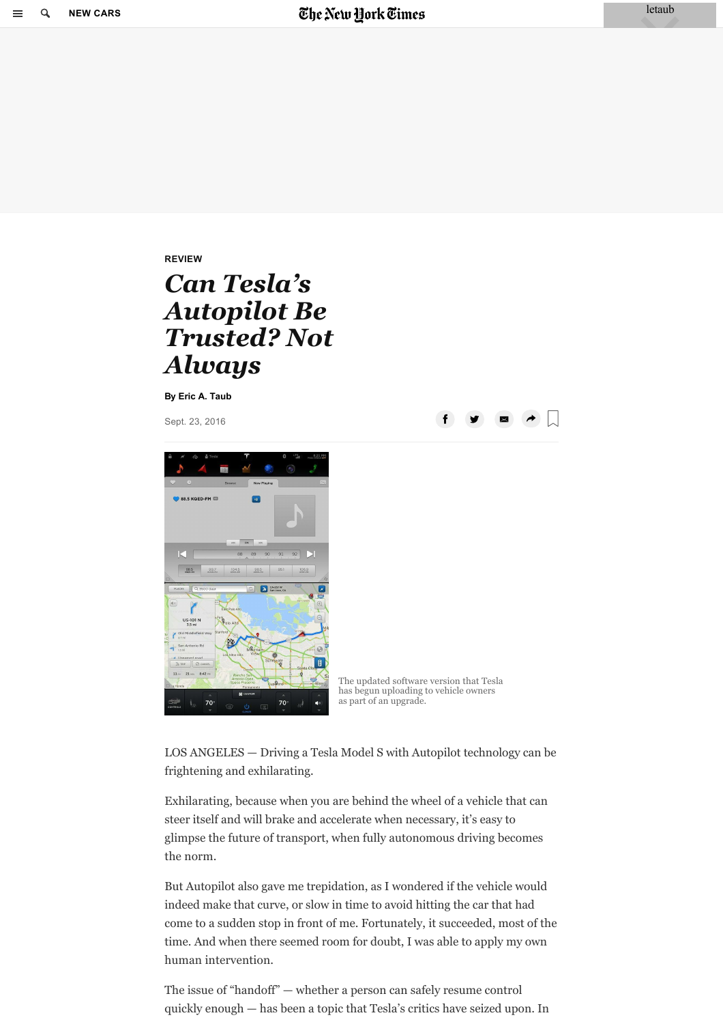<span id="page-0-0"></span>**REVIEW**

## *Can Tesla's Autopilot Be Trusted? Not Always*

**By Eric A. Taub**

Sept. 23, 2016





The updated software version that Tesla has begun uploading to vehicle owners as part of an upgrade.

LOS ANGELES — Driving a Tesla Model S with Autopilot technology can be frightening and exhilarating.

Exhilarating, because when you are behind the wheel of a vehicle that can steer itself and will brake and accelerate when necessary, it's easy to glimpse the future of transport, when fully autonomous driving becomes the norm.

But Autopilot also gave me trepidation, as I wondered if the vehicle would indeed make that curve, or slow in time to avoid hitting the car that had come to a sudden stop in front of me. Fortunately, it succeeded, most of the time. And when there seemed room for doubt, I was able to apply my own human intervention.

The issue of "handoff" — whether a person can safely resume control quickly enough — has been a topic that Tesla's critics have seized upon. In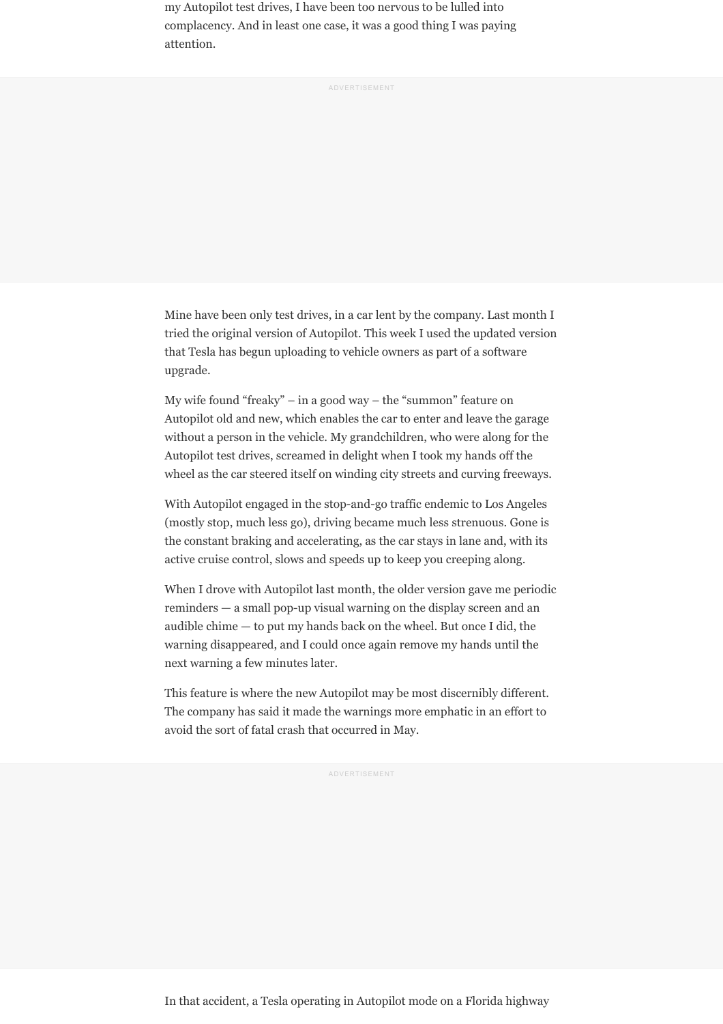my Autopilot test drives, I have been too nervous to be lulled into complacency. And in least one case, it was a good thing I was paying attention.

ADVERTISEMENT

Mine have been only test drives, in a car lent by the company. Last month I tried the original version of Autopilot. This week I used the updated version that Tesla has begun uploading to vehicle owners as part of a software upgrade.

My wife found "freaky" – in a good way – the "summon" feature on Autopilot old and new, which enables the car to enter and leave the garage without a person in the vehicle. My grandchildren, who were along for the Autopilot test drives, screamed in delight when I took my hands off the wheel as the car steered itself on winding city streets and curving freeways.

With Autopilot engaged in the stop-and-go traffic endemic to Los Angeles (mostly stop, much less go), driving became much less strenuous. Gone is the constant braking and accelerating, as the car stays in lane and, with its active cruise control, slows and speeds up to keep you creeping along.

When I drove with Autopilot last month, the older version gave me periodic reminders — a small pop-up visual warning on the display screen and an audible chime — to put my hands back on the wheel. But once I did, the warning disappeared, and I could once again remove my hands until the next warning a few minutes later.

This feature is where the new Autopilot may be most discernibly different. The company has said it made the warnings more emphatic in an effort to avoid the sort of fatal crash that occurred in May.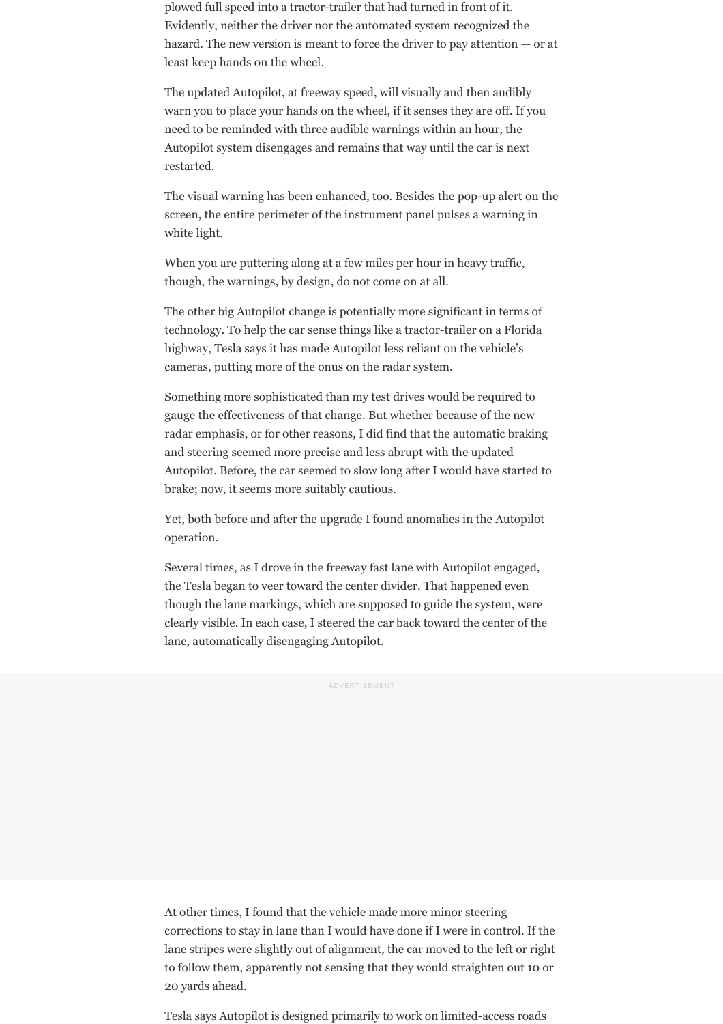plowed full speed into a tractor-trailer that had turned in front of it. Evidently, neither the driver nor the automated system recognized the hazard. The new version is meant to force the driver to pay attention — or at least keep hands on the wheel.

The updated Autopilot, at freeway speed, will visually and then audibly warn you to place your hands on the wheel, if it senses they are off. If you need to be reminded with three audible warnings within an hour, the Autopilot system disengages and remains that way until the car is next restarted.

The visual warning has been enhanced, too. Besides the pop-up alert on the screen, the entire perimeter of the instrument panel pulses a warning in white light.

When you are puttering along at a few miles per hour in heavy traffic, though, the warnings, by design, do not come on at all.

The other big Autopilot change is potentially more significant in terms of technology. To help the car sense things like a tractor-trailer on a Florida highway, Tesla says it has made Autopilot less reliant on the vehicle's cameras, putting more of the onus on the radar system.

Something more sophisticated than my test drives would be required to gauge the effectiveness of that change. But whether because of the new radar emphasis, or for other reasons, I did find that the automatic braking and steering seemed more precise and less abrupt with the updated Autopilot. Before, the car seemed to slow long after I would have started to brake; now, it seems more suitably cautious.

Yet, both before and after the upgrade I found anomalies in the Autopilot operation.

Several times, as I drove in the freeway fast lane with Autopilot engaged, the Tesla began to veer toward the center divider. That happened even though the lane markings, which are supposed to guide the system, were clearly visible. In each case, I steered the car back toward the center of the lane, automatically disengaging Autopilot.

ADVERTISEMENT

At other times, I found that the vehicle made more minor steering corrections to stay in lane than I would have done if I were in control. If the lane stripes were slightly out of alignment, the car moved to the left or right to follow them, apparently not sensing that they would straighten out 10 or 20 yards ahead.

Tesla says Autopilot is designed primarily to work on limited-access roads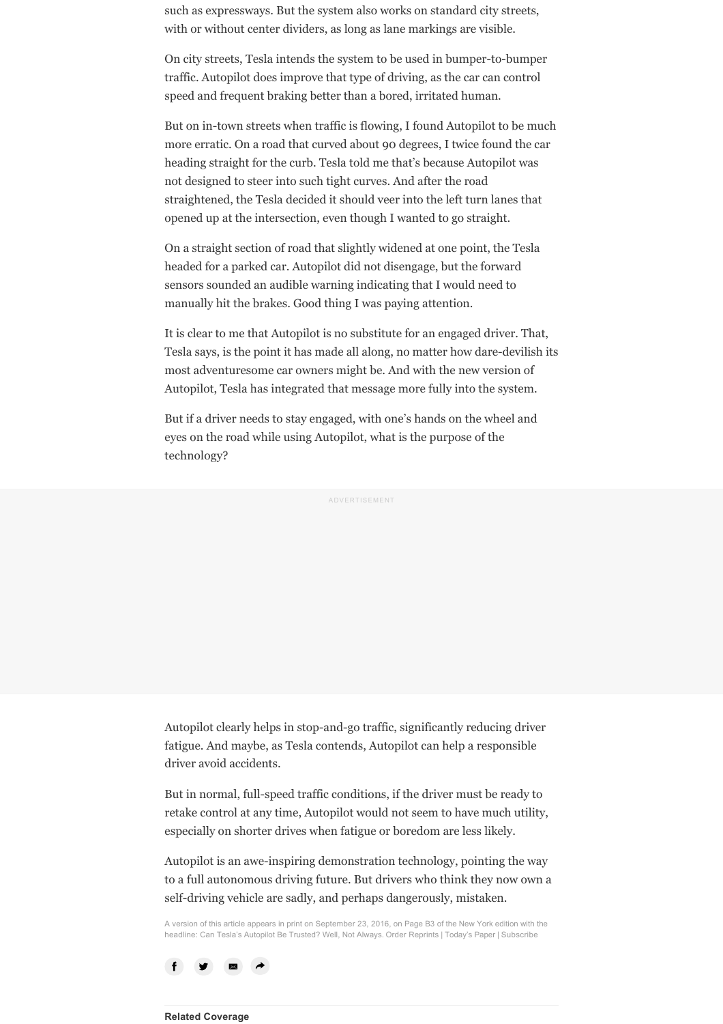such as expressways. But the system also works on standard city streets, with or without center dividers, as long as lane markings are visible.

On city streets, Tesla intends the system to be used in bumper-to-bumper traffic. Autopilot does improve that type of driving, as the car can control speed and frequent braking better than a bored, irritated human.

But on in-town streets when traffic is flowing, I found Autopilot to be much more erratic. On a road that curved about 90 degrees, I twice found the car heading straight for the curb. Tesla told me that's because Autopilot was not designed to steer into such tight curves. And after the road straightened, the Tesla decided it should veer into the left turn lanes that opened up at the intersection, even though I wanted to go straight.

On a straight section of road that slightly widened at one point, the Tesla headed for a parked car. Autopilot did not disengage, but the forward sensors sounded an audible warning indicating that I would need to manually hit the brakes. Good thing I was paying attention.

It is clear to me that Autopilot is no substitute for an engaged driver. That, Tesla says, is the point it has made all along, no matter how dare-devilish its most adventuresome car owners might be. And with the new version of Autopilot, Tesla has integrated that message more fully into the system.

But if a driver needs to stay engaged, with one's hands on the wheel and eyes on the road while using Autopilot, what is the purpose of the technology?

Autopilot clearly helps in stop-and-go traffic, significantly reducing driver fatigue. And maybe, as Tesla contends, Autopilot can help a responsible driver avoid accidents.

But in normal, full-speed traffic conditions, if the driver must be ready to retake control at any time, Autopilot would not seem to have much utility, especially on shorter drives when fatigue or boredom are less likely.

Autopilot is an awe-inspiring demonstration technology, pointing the way to a full autonomous driving future. But drivers who think they now own a self-driving vehicle are sadly, and perhaps dangerously, mistaken.

A version of this article appears in print on September 23, 2016, on Page B3 of the New York edition with the headline: Can Tesla's Autopilot Be Trusted? Well, Not Always. [Order Reprints](http://www.nytreprints.com/) | [Today's Paper](http://www.nytimes.com/pages/todayspaper/index.html) | [Subscribe](https://www.nytimes.com/subscriptions/Multiproduct/lp8HYKU.html?campaignId=48JQY)



## **[Related Coverage](https://www.nytimes.com/2016/09/24/business/tesla-upgrades-autopilot-in-cars-on-the-road.html)**